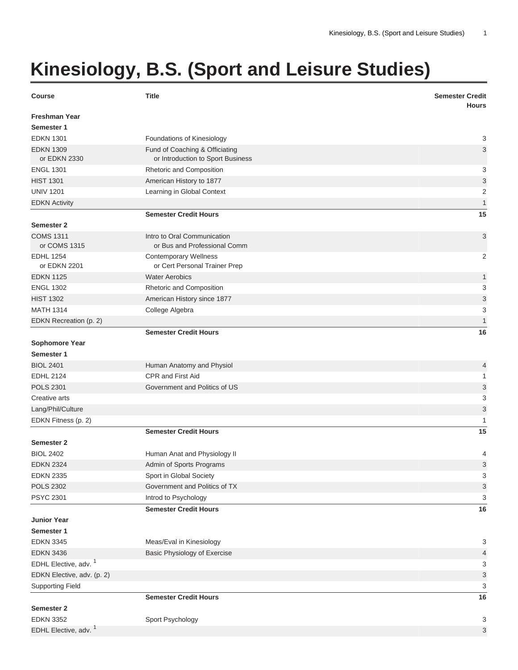## **Kinesiology, B.S. (Sport and Leisure Studies)**

| <b>Course</b>                      | <b>Title</b>                                                        | <b>Semester Credit</b><br><b>Hours</b> |
|------------------------------------|---------------------------------------------------------------------|----------------------------------------|
| <b>Freshman Year</b><br>Semester 1 |                                                                     |                                        |
| <b>EDKN 1301</b>                   | Foundations of Kinesiology                                          | 3                                      |
| <b>EDKN 1309</b><br>or EDKN 2330   | Fund of Coaching & Officiating<br>or Introduction to Sport Business | 3                                      |
| <b>ENGL 1301</b>                   | Rhetoric and Composition                                            | 3                                      |
| <b>HIST 1301</b>                   | American History to 1877                                            | 3                                      |
| <b>UNIV 1201</b>                   | Learning in Global Context                                          | $\overline{2}$                         |
| <b>EDKN Activity</b>               |                                                                     | 1                                      |
|                                    | <b>Semester Credit Hours</b>                                        | 15                                     |
| <b>Semester 2</b>                  |                                                                     |                                        |
| <b>COMS 1311</b><br>or COMS 1315   | Intro to Oral Communication<br>or Bus and Professional Comm         | 3                                      |
| <b>EDHL 1254</b><br>or EDKN 2201   | <b>Contemporary Wellness</b><br>or Cert Personal Trainer Prep       | 2                                      |
| <b>EDKN 1125</b>                   | <b>Water Aerobics</b>                                               | 1                                      |
| <b>ENGL 1302</b>                   | Rhetoric and Composition                                            | 3                                      |
| <b>HIST 1302</b>                   | American History since 1877                                         | 3                                      |
| <b>MATH 1314</b>                   | College Algebra                                                     | 3                                      |
| EDKN Recreation (p. 2)             |                                                                     | $\mathbf{1}$                           |
|                                    | <b>Semester Credit Hours</b>                                        | 16                                     |
| <b>Sophomore Year</b>              |                                                                     |                                        |
| Semester 1                         |                                                                     |                                        |
| <b>BIOL 2401</b>                   | Human Anatomy and Physiol                                           | 4                                      |
| <b>EDHL 2124</b>                   | <b>CPR and First Aid</b>                                            | 1                                      |
| <b>POLS 2301</b>                   | Government and Politics of US                                       | 3                                      |
| Creative arts                      |                                                                     | 3                                      |
| Lang/Phil/Culture                  |                                                                     | 3                                      |
| EDKN Fitness (p. 2)                |                                                                     | 1                                      |
|                                    | <b>Semester Credit Hours</b>                                        | 15                                     |
| <b>Semester 2</b>                  |                                                                     |                                        |
| <b>BIOL 2402</b>                   | Human Anat and Physiology II                                        | 4                                      |
| <b>EDKN 2324</b>                   | Admin of Sports Programs                                            | 3                                      |
| <b>EDKN 2335</b>                   | Sport in Global Society                                             | 3                                      |
| <b>POLS 2302</b>                   | Government and Politics of TX                                       | 3                                      |
| <b>PSYC 2301</b>                   | Introd to Psychology                                                | 3                                      |
|                                    | <b>Semester Credit Hours</b>                                        | 16                                     |
| <b>Junior Year</b>                 |                                                                     |                                        |
| Semester 1                         |                                                                     |                                        |
| <b>EDKN 3345</b>                   | Meas/Eval in Kinesiology                                            | 3                                      |
| <b>EDKN 3436</b>                   | Basic Physiology of Exercise                                        | 4                                      |
| EDHL Elective, adv. <sup>1</sup>   |                                                                     | 3                                      |
| EDKN Elective, adv. (p. 2)         |                                                                     | 3                                      |
| <b>Supporting Field</b>            |                                                                     | 3                                      |
|                                    | <b>Semester Credit Hours</b>                                        | 16                                     |
| <b>Semester 2</b>                  |                                                                     |                                        |
| <b>EDKN 3352</b>                   | Sport Psychology                                                    | 3                                      |
| EDHL Elective, adv. <sup>1</sup>   |                                                                     | 3                                      |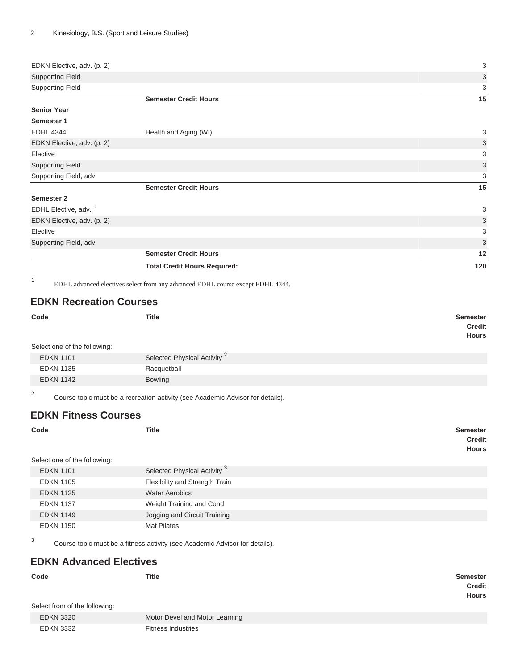| EDKN Elective, adv. (p. 2)       |                                     | 3                         |
|----------------------------------|-------------------------------------|---------------------------|
| <b>Supporting Field</b>          |                                     | 3                         |
| <b>Supporting Field</b>          |                                     | 3                         |
|                                  | <b>Semester Credit Hours</b>        | 15                        |
| <b>Senior Year</b>               |                                     |                           |
| Semester 1                       |                                     |                           |
| <b>EDHL 4344</b>                 | Health and Aging (WI)               | 3                         |
| EDKN Elective, adv. (p. 2)       |                                     | $\ensuremath{\mathsf{3}}$ |
| Elective                         |                                     | 3                         |
| <b>Supporting Field</b>          |                                     | 3                         |
| Supporting Field, adv.           |                                     | 3                         |
|                                  | <b>Semester Credit Hours</b>        | 15                        |
| Semester 2                       |                                     |                           |
| EDHL Elective, adv. <sup>1</sup> |                                     | 3                         |
| EDKN Elective, adv. (p. 2)       |                                     | 3                         |
| Elective                         |                                     | 3                         |
| Supporting Field, adv.           |                                     | 3                         |
|                                  | <b>Semester Credit Hours</b>        | 12                        |
|                                  | <b>Total Credit Hours Required:</b> | 120                       |

1 EDHL advanced electives select from any advanced EDHL course except EDHL 4344.

## <span id="page-1-0"></span>**EDKN Recreation Courses**

| Code                         | <b>Title</b>                            | Semester<br>Credit<br><b>Hours</b> |
|------------------------------|-----------------------------------------|------------------------------------|
| Select one of the following: |                                         |                                    |
| <b>EDKN 1101</b>             | Selected Physical Activity <sup>2</sup> |                                    |
| <b>EDKN 1135</b>             | Racquetball                             |                                    |
| <b>EDKN 1142</b>             | <b>Bowling</b>                          |                                    |

2 Course topic must be a recreation activity (see Academic Advisor for details).

## <span id="page-1-1"></span>**EDKN Fitness Courses**

| Code<br>Select one of the following: | <b>Title</b>                            | <b>Semester</b><br><b>Credit</b><br><b>Hours</b> |
|--------------------------------------|-----------------------------------------|--------------------------------------------------|
| <b>EDKN 1101</b>                     | Selected Physical Activity <sup>3</sup> |                                                  |
|                                      |                                         |                                                  |
| <b>EDKN 1105</b>                     | Flexibility and Strength Train          |                                                  |
| <b>EDKN 1125</b>                     | <b>Water Aerobics</b>                   |                                                  |
| <b>EDKN 1137</b>                     | Weight Training and Cond                |                                                  |
| <b>EDKN 1149</b>                     | Jogging and Circuit Training            |                                                  |
| <b>EDKN 1150</b>                     | <b>Mat Pilates</b>                      |                                                  |

Course topic must be a fitness activity (see Academic Advisor for details).

## <span id="page-1-2"></span>**EDKN Advanced Electives**

3

| Code<br>Select from of the following: | <b>Title</b>                   | Semester<br><b>Credit</b><br><b>Hours</b> |
|---------------------------------------|--------------------------------|-------------------------------------------|
| <b>EDKN 3320</b>                      | Motor Devel and Motor Learning |                                           |
| <b>EDKN 3332</b>                      | <b>Fitness Industries</b>      |                                           |